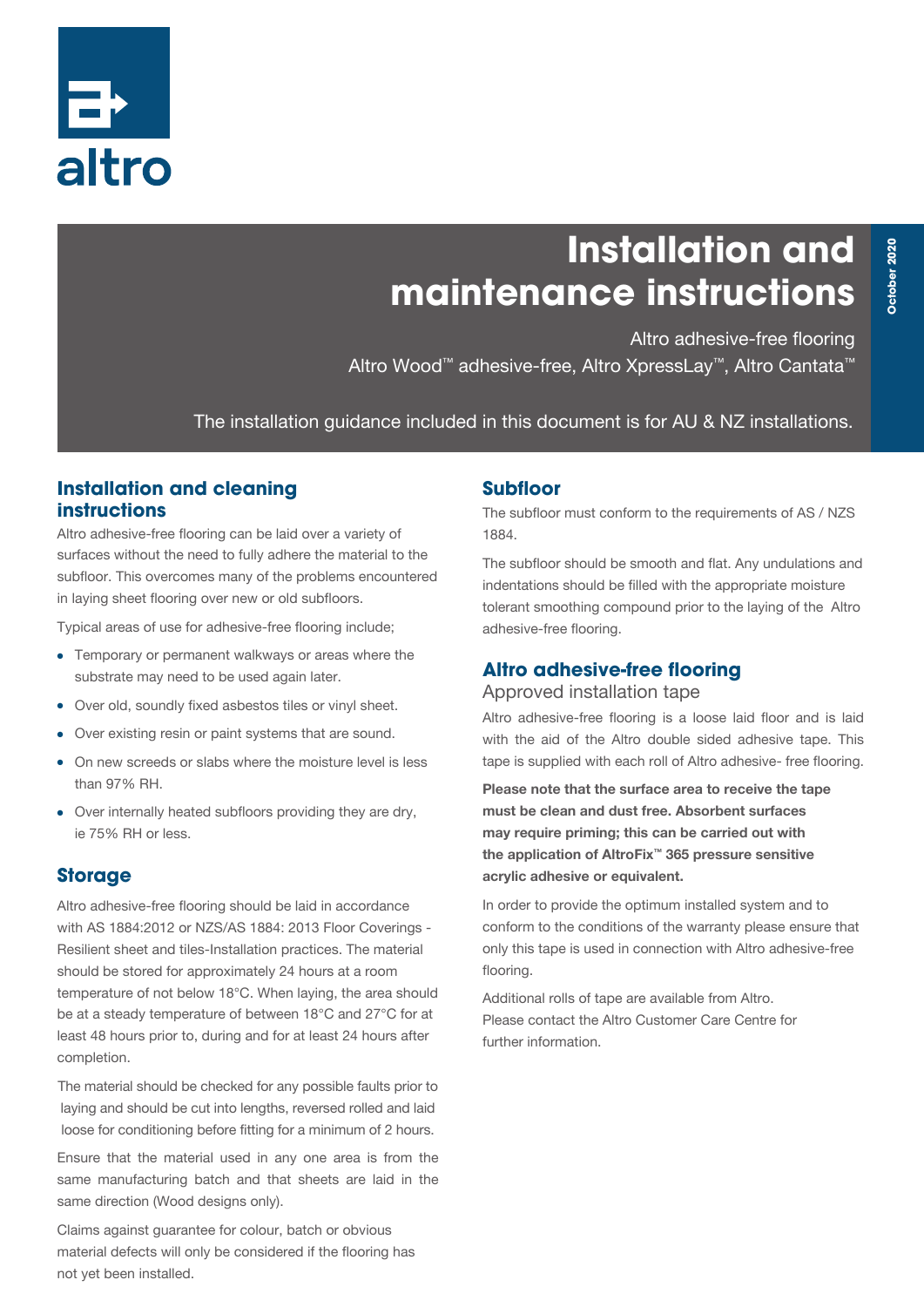

# **Installation and maintenance instructions**

Altro adhesive-free flooring Altro Wood™ adhesive-free, Altro XpressLay™, Altro Cantata™

The installation guidance included in this document is for AU & NZ installations.

## **Installation and cleaning instructions**

Altro adhesive-free flooring can be laid over a variety of surfaces without the need to fully adhere the material to the subfloor. This overcomes many of the problems encountered in laying sheet flooring over new or old subfloors.

Typical areas of use for adhesive-free flooring include;

- Temporary or permanent walkways or areas where the substrate may need to be used again later.
- Over old, soundly fixed asbestos tiles or vinyl sheet.
- Over existing resin or paint systems that are sound.
- On new screeds or slabs where the moisture level is less than 97% RH.
- Over internally heated subfloors providing they are dry, ie 75% RH or less.

## **Storage**

Altro adhesive-free flooring should be laid in accordance with AS 1884:2012 or NZS/AS 1884: 2013 Floor Coverings - Resilient sheet and tiles-Installation practices. The material should be stored for approximately 24 hours at a room temperature of not below 18°C. When laying, the area should be at a steady temperature of between 18°C and 27°C for at least 48 hours prior to, during and for at least 24 hours after completion.

The material should be checked for any possible faults prior to laying and should be cut into lengths, reversed rolled and laid loose for conditioning before fitting for a minimum of 2 hours.

Ensure that the material used in any one area is from the same manufacturing batch and that sheets are laid in the same direction (Wood designs only).

Claims against guarantee for colour, batch or obvious material defects will only be considered if the flooring has not yet been installed.

## **Subfloor**

The subfloor must conform to the requirements of AS / NZS 1884.

The subfloor should be smooth and flat. Any undulations and indentations should be filled with the appropriate moisture tolerant smoothing compound prior to the laying of the Altro adhesive-free flooring.

### **Altro adhesive-free flooring**

#### Approved installation tape

Altro adhesive-free flooring is a loose laid floor and is laid with the aid of the Altro double sided adhesive tape. This tape is supplied with each roll of Altro adhesive- free flooring.

Please note that the surface area to receive the tape must be clean and dust free. Absorbent surfaces may require priming; this can be carried out with the application of AltroFix™ 365 pressure sensitive acrylic adhesive or equivalent.

In order to provide the optimum installed system and to conform to the conditions of the warranty please ensure that only this tape is used in connection with Altro adhesive-free flooring.

Additional rolls of tape are available from Altro. Please contact the Altro Customer Care Centre for further information.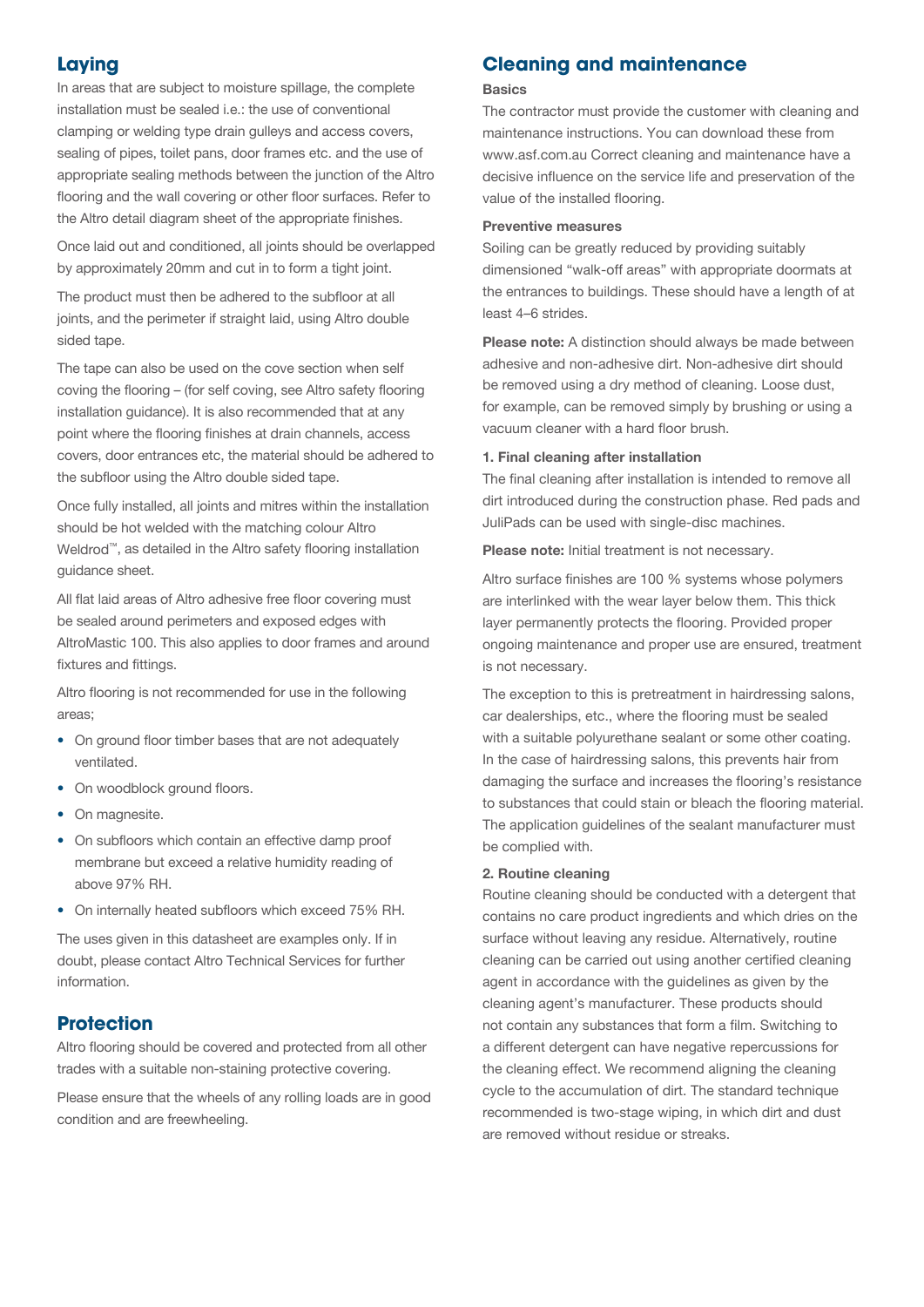## **Laying**

In areas that are subject to moisture spillage, the complete installation must be sealed i.e.: the use of conventional clamping or welding type drain gulleys and access covers, sealing of pipes, toilet pans, door frames etc. and the use of appropriate sealing methods between the junction of the Altro flooring and the wall covering or other floor surfaces. Refer to the Altro detail diagram sheet of the appropriate finishes.

Once laid out and conditioned, all joints should be overlapped by approximately 20mm and cut in to form a tight joint.

The product must then be adhered to the subfloor at all joints, and the perimeter if straight laid, using Altro double sided tape.

The tape can also be used on the cove section when self coving the flooring – (for self coving, see Altro safety flooring installation guidance). It is also recommended that at any point where the flooring finishes at drain channels, access covers, door entrances etc, the material should be adhered to the subfloor using the Altro double sided tape.

Once fully installed, all joints and mitres within the installation should be hot welded with the matching colour Altro Weldrod™, as detailed in the Altro safety flooring installation guidance sheet.

All flat laid areas of Altro adhesive free floor covering must be sealed around perimeters and exposed edges with AltroMastic 100. This also applies to door frames and around fixtures and fittings.

Altro flooring is not recommended for use in the following areas;

- On ground floor timber bases that are not adequately ventilated.
- On woodblock ground floors.
- On magnesite.
- On subfloors which contain an effective damp proof membrane but exceed a relative humidity reading of above 97% RH.
- On internally heated subfloors which exceed 75% RH.

The uses given in this datasheet are examples only. If in doubt, please contact Altro Technical Services for further information.

## **Protection**

Altro flooring should be covered and protected from all other trades with a suitable non-staining protective covering.

Please ensure that the wheels of any rolling loads are in good condition and are freewheeling.

## **Cleaning and maintenance**

#### **Basics**

The contractor must provide the customer with cleaning and maintenance instructions. You can download these from www.asf.com.au Correct cleaning and maintenance have a decisive influence on the service life and preservation of the value of the installed flooring.

#### Preventive measures

Soiling can be greatly reduced by providing suitably dimensioned "walk-off areas" with appropriate doormats at the entrances to buildings. These should have a length of at least 4–6 strides.

Please note: A distinction should always be made between adhesive and non-adhesive dirt. Non-adhesive dirt should be removed using a dry method of cleaning. Loose dust, for example, can be removed simply by brushing or using a vacuum cleaner with a hard floor brush.

#### 1. Final cleaning after installation

The final cleaning after installation is intended to remove all dirt introduced during the construction phase. Red pads and JuliPads can be used with single-disc machines.

Please note: Initial treatment is not necessary.

Altro surface finishes are 100 % systems whose polymers are interlinked with the wear layer below them. This thick layer permanently protects the flooring. Provided proper ongoing maintenance and proper use are ensured, treatment is not necessary.

The exception to this is pretreatment in hairdressing salons, car dealerships, etc., where the flooring must be sealed with a suitable polyurethane sealant or some other coating. In the case of hairdressing salons, this prevents hair from damaging the surface and increases the flooring's resistance to substances that could stain or bleach the flooring material. The application guidelines of the sealant manufacturer must be complied with.

#### 2. Routine cleaning

Routine cleaning should be conducted with a detergent that contains no care product ingredients and which dries on the surface without leaving any residue. Alternatively, routine cleaning can be carried out using another certified cleaning agent in accordance with the guidelines as given by the cleaning agent's manufacturer. These products should not contain any substances that form a film. Switching to a different detergent can have negative repercussions for the cleaning effect. We recommend aligning the cleaning cycle to the accumulation of dirt. The standard technique recommended is two-stage wiping, in which dirt and dust are removed without residue or streaks.